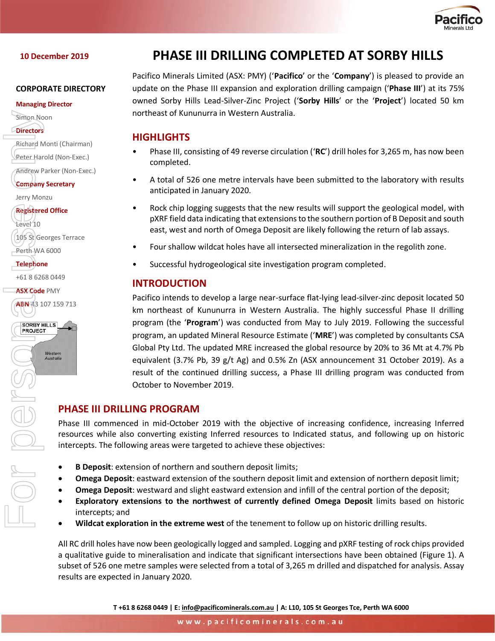

### **10 December 2019**

#### **CORPORATE DIRECTORY**

#### **Managing Director**

Simon Noon

**Directors**

Richard Monti (Chairman)

Peter Harold (Non-Exec.)

Andrew Parker (Non-Exec.)

**Company Secretary**

Jerry Monzu

**Registered Office** Level 10 105 St Georges Terrace Perth WA 6000 Filmon Noon<br> **ABN** 43 107 159 713<br> **ABN 43 107 159 713**<br> **ABN 43 107 159 713**<br> **ABN 43 107 159 713**<br> **ABN 43 107 159 713**<br> **ABN 43 107 159 713**<br> **ABN 43 107 159 713**<br> **ABN 43 107 159 713**<br> **PROJECT**<br> **PHA**<br> **PROJECT** 

**Telephone**

+61 8 6268 0449

**ASX Code** PMY

ABN 43 107 159 713





# **PHASE III DRILLING COMPLETED AT SORBY HILLS**

Pacifico Minerals Limited (ASX: PMY) ('**Pacifico**' or the '**Company**') is pleased to provide an update on the Phase III expansion and exploration drilling campaign ('**Phase III**') at its 75% owned Sorby Hills Lead-Silver-Zinc Project ('**Sorby Hills**' or the '**Project**') located 50 km northeast of Kununurra in Western Australia.

# **HIGHLIGHTS**

- Phase III, consisting of 49 reverse circulation ('**RC**') drill holes for 3,265 m, has now been completed.
- A total of 526 one metre intervals have been submitted to the laboratory with results anticipated in January 2020.
- Rock chip logging suggests that the new results will support the geological model, with pXRF field data indicating that extensions to the southern portion of B Deposit and south east, west and north of Omega Deposit are likely following the return of lab assays.
- Four shallow wildcat holes have all intersected mineralization in the regolith zone.
- Successful hydrogeological site investigation program completed.

# **INTRODUCTION**

Pacifico intends to develop a large near-surface flat-lying lead-silver-zinc deposit located 50 km northeast of Kununurra in Western Australia. The highly successful Phase II drilling program (the '**Program**') was conducted from May to July 2019. Following the successful program, an updated Mineral Resource Estimate ('**MRE**') was completed by consultants CSA Global Pty Ltd. The updated MRE increased the global resource by 20% to 36 Mt at 4.7% Pb equivalent (3.7% Pb, 39 g/t Ag) and 0.5% Zn (ASX announcement 31 October 2019). As a result of the continued drilling success, a Phase III drilling program was conducted from October to November 2019.

# **PHASE III DRILLING PROGRAM**

Phase III commenced in mid-October 2019 with the objective of increasing confidence, increasing Inferred resources while also converting existing Inferred resources to Indicated status, and following up on historic intercepts. The following areas were targeted to achieve these objectives:

- **B Deposit**: extension of northern and southern deposit limits;
- **Omega Deposit**: eastward extension of the southern deposit limit and extension of northern deposit limit;
- **Omega Deposit**: westward and slight eastward extension and infill of the central portion of the deposit;
- **Exploratory extensions to the northwest of currently defined Omega Deposit** limits based on historic intercepts; and
- **Wildcat exploration in the extreme west** of the tenement to follow up on historic drilling results.

All RC drill holes have now been geologically logged and sampled. Logging and pXRF testing of rock chips provided a qualitative guide to mineralisation and indicate that significant intersections have been obtained (Figure 1). A subset of 526 one metre samples were selected from a total of 3,265 m drilled and dispatched for analysis. Assay results are expected in January 2020.

**T +61 8 6268 0449 | E: [info@pacificominerals.com.au](mailto:info@pacificominerals.com.au) | A: L10, 105 St Georges Tce, Perth WA 6000**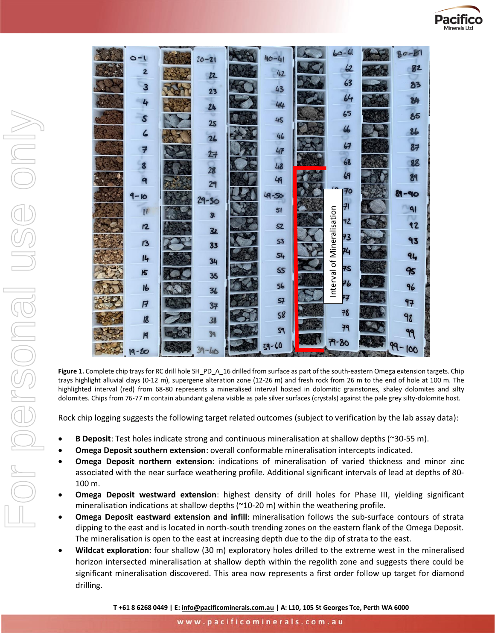

|                  |                |           |                                  | $RO-$                     |
|------------------|----------------|-----------|----------------------------------|---------------------------|
| $O-I$            | $20 - 21$      | $40 - 41$ | $\omega$                         | 82                        |
| 2                | 22             | 42        |                                  |                           |
| 3                | ಾ<br>23        | 43        | 63                               | 2 <sup>3</sup>            |
| 4                | 24             | 44        | 64                               | $\overline{\mathbf{34}}$  |
| $\boldsymbol{s}$ | v              | 45        | 65                               | 85                        |
| $\epsilon$       | 25             |           | 66                               | 86                        |
|                  | 26             | 46        | 67                               | 87                        |
| 7                | 27             | 47        |                                  |                           |
| 8                | 28             | 48        | 68                               | 88                        |
| 9                | 29             | 49        | 69                               | $\mathbf{g}_{\mathbf{q}}$ |
| $\overline{6}$   | $29 - 50$      | $A-S$     | 70                               | 89-90                     |
| $\mathbf{u}$     |                | 51        | 71                               | 91                        |
| $\overline{2}$   | 3 <sub>l</sub> | SZ.       | 72                               | 42                        |
|                  | 32             |           | 73                               | 93                        |
| 13               | 33             | 53        | 74                               |                           |
| 14               | 34             | 54        |                                  | 94                        |
| $\overline{5}$   | 35             | 55        | 75                               | 95                        |
| 16               | 36             | 56        | Interval of Mineralisation<br>76 | 96                        |
| $\overline{F}$   | 37             | 57        | 77                               | 97                        |
| $\overline{8}$   | 38             | 58        | 78                               | 98                        |
| Ħ                | 39             | 59        | 79                               | 99                        |
|                  |                | $59 - 60$ | $79 - 80$                        | $99 - 100$                |
| $19 - 60$        |                |           |                                  |                           |

**Figure 1.** Complete chip trays for RC drill hole SH\_PD\_A\_16 drilled from surface as part of the south-eastern Omega extension targets. Chip trays highlight alluvial clays (0-12 m), supergene alteration zone (12-26 m) and fresh rock from 26 m to the end of hole at 100 m. The highlighted interval (red) from 68-80 represents a mineralised interval hosted in dolomitic grainstones, shaley dolomites and silty dolomites. Chips from 76-77 m contain abundant galena visible as pale silver surfaces (crystals) against the pale grey silty-dolomite host.

Rock chip logging suggests the following target related outcomes (subject to verification by the lab assay data):

- **B Deposit**: Test holes indicate strong and continuous mineralisation at shallow depths (~30-55 m).
- **Omega Deposit southern extension**: overall conformable mineralisation intercepts indicated.
- **Omega Deposit northern extension**: indications of mineralisation of varied thickness and minor zinc associated with the near surface weathering profile. Additional significant intervals of lead at depths of 80- 100 m.
- **Omega Deposit westward extension**: highest density of drill holes for Phase III, yielding significant mineralisation indications at shallow depths (~10-20 m) within the weathering profile.
- **Omega Deposit eastward extension and infill**: mineralisation follows the sub-surface contours of strata dipping to the east and is located in north-south trending zones on the eastern flank of the Omega Deposit. The mineralisation is open to the east at increasing depth due to the dip of strata to the east.
- **Wildcat exploration**: four shallow (30 m) exploratory holes drilled to the extreme west in the mineralised horizon intersected mineralisation at shallow depth within the regolith zone and suggests there could be significant mineralisation discovered. This area now represents a first order follow up target for diamond drilling.

**T +61 8 6268 0449 | E: [info@pacificominerals.com.au](mailto:info@pacificominerals.com.au) | A: L10, 105 St Georges Tce, Perth WA 6000**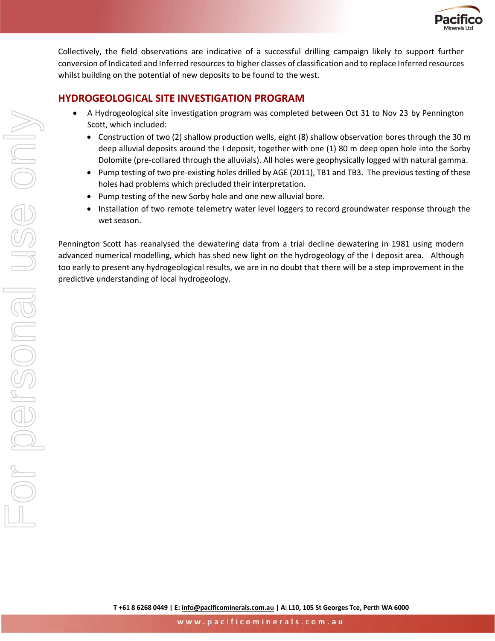

Collectively, the field observations are indicative of a successful drilling campaign likely to support further conversion of Indicated and Inferred resources to higher classes of classification and to replace Inferred resources whilst building on the potential of new deposits to be found to the west.

### **HYDROGEOLOGICAL SITE INVESTIGATION PROGRAM**

- A Hydrogeological site investigation program was completed between Oct 31 to Nov 23 by Pennington Scott, which included:
	- Construction of two (2) shallow production wells, eight (8) shallow observation bores through the 30 m deep alluvial deposits around the I deposit, together with one (1) 80 m deep open hole into the Sorby Dolomite (pre-collared through the alluvials). All holes were geophysically logged with natural gamma.
	- Pump testing of two pre-existing holes drilled by AGE (2011), TB1 and TB3. The previous testing of these holes had problems which precluded their interpretation.
	- Pump testing of the new Sorby hole and one new alluvial bore.
	- Installation of two remote telemetry water level loggers to record groundwater response through the wet season.

Pennington Scott has reanalysed the dewatering data from a trial decline dewatering in 1981 using modern advanced numerical modelling, which has shed new light on the hydrogeology of the I deposit area. Although too early to present any hydrogeological results, we are in no doubt that there will be a step improvement in the predictive understanding of local hydrogeology.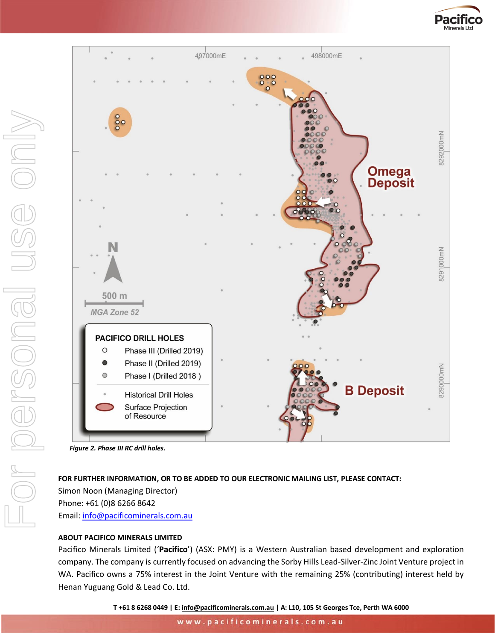



### **FOR FURTHER INFORMATION, OR TO BE ADDED TO OUR ELECTRONIC MAILING LIST, PLEASE CONTACT:**

Simon Noon (Managing Director) Phone: +61 (0)8 6266 8642 Email: [info@pacificominerals.com.au](mailto:info@pacificominerals.com.au)

### **ABOUT PACIFICO MINERALS LIMITED**

Pacifico Minerals Limited ('**Pacifico**') (ASX: PMY) is a Western Australian based development and exploration company. The company is currently focused on advancing the Sorby Hills Lead-Silver-Zinc Joint Venture project in WA. Pacifico owns a 75% interest in the Joint Venture with the remaining 25% (contributing) interest held by Henan Yuguang Gold & Lead Co. Ltd.

**T +61 8 6268 0449 | E: [info@pacificominerals.com.au](mailto:info@pacificominerals.com.au) | A: L10, 105 St Georges Tce, Perth WA 6000**

www.pacificominerals.com.au